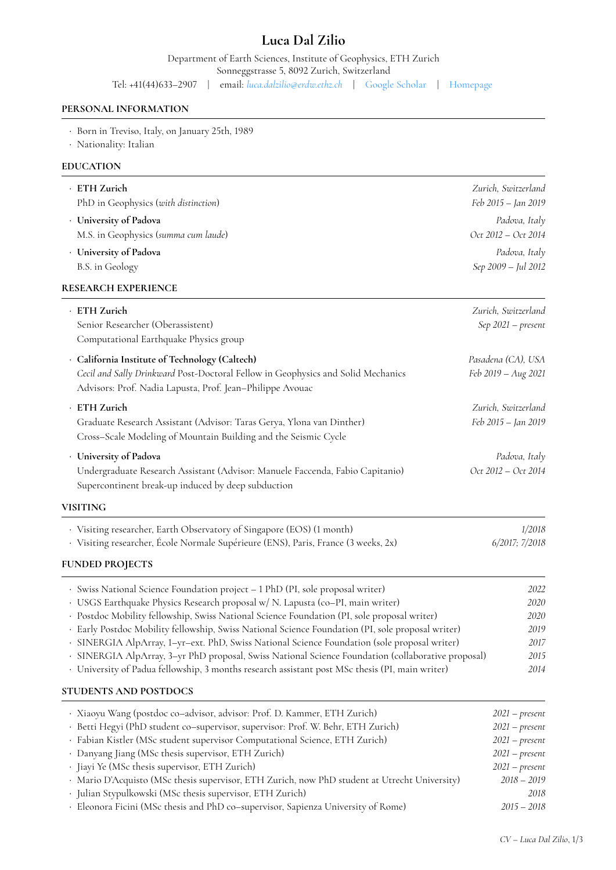# **Luca Dal Zilio**

# **PERSONAL INFORMATION**

- · Born in Treviso, Italy, on January 25th, 1989
- · Nationality: Italian

## **EDUCATION**

| · ETH Zurich<br>PhD in Geophysics (with distinction)                                                                                                        | Zurich, Switzerland<br>Feb 2015 - Jan 2019 |
|-------------------------------------------------------------------------------------------------------------------------------------------------------------|--------------------------------------------|
| · University of Padova                                                                                                                                      | Padova, Italy                              |
| M.S. in Geophysics (summa cum laude)                                                                                                                        | Oct 2012 - Oct 2014                        |
| <b>· University of Padova</b>                                                                                                                               | Padova, Italy                              |
| <b>B.S.</b> in Geology                                                                                                                                      | Sep 2009 - Jul 2012                        |
| RESEARCH EXPERIENCE                                                                                                                                         |                                            |
| · ETH Zurich                                                                                                                                                | Zurich, Switzerland                        |
| Senior Researcher (Oberassistent)                                                                                                                           | Sep 2021 - present                         |
| Computational Earthquake Physics group                                                                                                                      |                                            |
| · California Institute of Technology (Caltech)                                                                                                              | Pasadena (CA), USA                         |
| Cecil and Sally Drinkward Post-Doctoral Fellow in Geophysics and Solid Mechanics<br>Advisors: Prof. Nadia Lapusta, Prof. Jean-Philippe Avouac               | Feb 2019 - Aug 2021                        |
| · ETH Zurich                                                                                                                                                | Zurich, Switzerland                        |
| Graduate Research Assistant (Advisor: Taras Gerya, Ylona van Dinther)<br>Cross-Scale Modeling of Mountain Building and the Seismic Cycle                    | Feb 2015 - Jan 2019                        |
| · University of Padova                                                                                                                                      | Padova, Italy                              |
| Undergraduate Research Assistant (Advisor: Manuele Faccenda, Fabio Capitanio)<br>Supercontinent break-up induced by deep subduction                         | Oct 2012 - Oct 2014                        |
| VISITING                                                                                                                                                    |                                            |
| · Visiting researcher, Earth Observatory of Singapore (EOS) (1 month)<br>· Visiting researcher, École Normale Supérieure (ENS), Paris, France (3 weeks, 2x) | 1/2018<br>6/2017; 7/2018                   |
| <b>FUNDED PROJECTS</b>                                                                                                                                      |                                            |
| · Swiss National Science Foundation project - 1 PhD (PI, sole proposal writer)                                                                              | 2022                                       |
| · USGS Earthquake Physics Research proposal w/ N. Lapusta (co-PI, main writer)                                                                              | 2020                                       |
| · Postdoc Mobility fellowship, Swiss National Science Foundation (PI, sole proposal writer)                                                                 | 2020                                       |
| · Early Postdoc Mobility fellowship, Swiss National Science Foundation (PI, sole proposal writer)                                                           | 2019                                       |
| · SINERGIA AlpArray, 1-yr-ext. PhD, Swiss National Science Foundation (sole proposal writer)                                                                | 2017                                       |
| · SINERGIA AlpArray, 3-yr PhD proposal, Swiss National Science Foundation (collaborative proposal)                                                          | 2015                                       |
| · University of Padua fellowship, 3 months research assistant post MSc thesis (PI, main writer)                                                             | 2014                                       |
| STUDENTS AND POSTDOCS                                                                                                                                       |                                            |
| · Xiaoyu Wang (postdoc co–advisor, advisor: Prof. D. Kammer, ETH Zurich)                                                                                    | $2021$ – present                           |
| · Betti Hegyi (PhD student co–supervisor, supervisor: Prof. W. Behr, ETH Zurich)                                                                            | $2021$ - present                           |
| · Fabian Kistler (MSc student supervisor Computational Science, ETH Zurich)                                                                                 | $2021 - present$                           |
| · Danyang Jiang (MSc thesis supervisor, ETH Zurich)                                                                                                         | $2021$ – present                           |
| · Jiayi Ye (MSc thesis supervisor, ETH Zurich)                                                                                                              | $2021$ – present                           |
| · Mario D'Acquisto (MSc thesis supervisor, ETH Zurich, now PhD student at Utrecht University)                                                               | $2018 - 2019$                              |
| · Julian Stypulkowski (MSc thesis supervisor, ETH Zurich)                                                                                                   | 2018                                       |
| · Eleonora Ficini (MSc thesis and PhD co–supervisor, Sapienza University of Rome)                                                                           | $2015 - 2018$                              |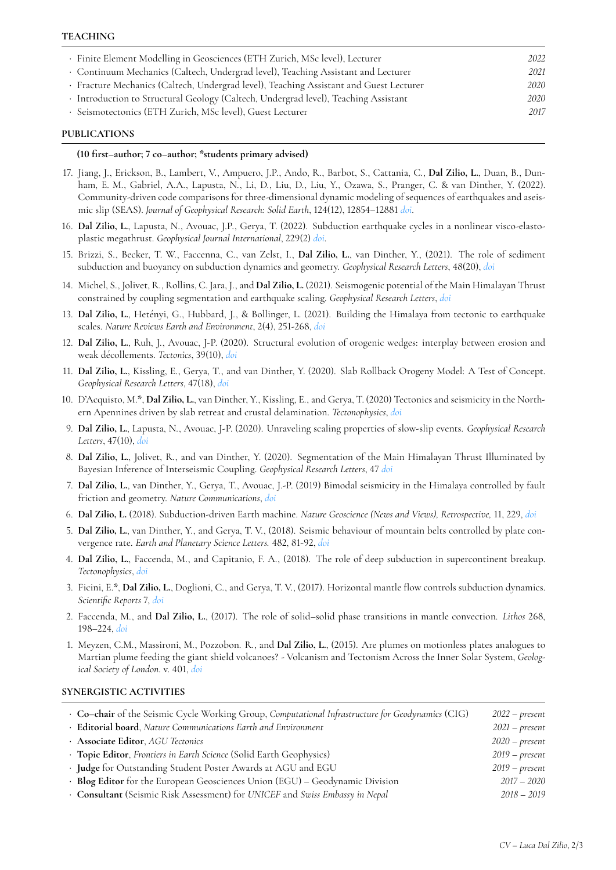#### **TEACHING**

| · Finite Element Modelling in Geosciences (ETH Zurich, MSc level), Lecturer            | 2022 |
|----------------------------------------------------------------------------------------|------|
| · Continuum Mechanics (Caltech, Undergrad level), Teaching Assistant and Lecturer      | 2021 |
| · Fracture Mechanics (Caltech, Undergrad level), Teaching Assistant and Guest Lecturer | 2020 |
| · Introduction to Structural Geology (Caltech, Undergrad level), Teaching Assistant    | 2020 |
| · Seismotectonics (ETH Zurich, MSc level), Guest Lecturer                              | 2017 |
|                                                                                        |      |

#### **PUBLICATIONS**

#### **(10 first–author; 7 co–author; \*students primary advised)**

- 17. Jiang, J., Erickson, B., Lambert, V., Ampuero, J.P., Ando, R., Barbot, S., Cattania, C., **Dal Zilio, L.**, Duan, B., Dunham, E. M., Gabriel, A.A., Lapusta, N., Li, D., Liu, D., Liu, Y., Ozawa, S., Pranger, C. & van Dinther, Y. (2022). Community-driven code comparisons for three-dimensional dynamic modeling of sequences of earthquakes and aseismic slip (SEAS). *Journal of Geophysical Research: Solid Earth*, 124(12), 12854–12881 *[doi](https://agupubs.onlinelibrary.wiley.com/doi/full/10.1029/2021JB023519)*.
- 16. **Dal Zilio, L.**, Lapusta, N., Avouac, J.P., Gerya, T. (2022). Subduction earthquake cycles in a nonlinear visco-elastoplastic megathrust. *Geophysical Journal International*, 229(2) *[doi](https://academic.oup.com/gji/advance-article/doi/10.1093/gji/ggab521/6484796)*.
- 15. Brizzi, S., Becker, T. W., Faccenna, C., van Zelst, I., **Dal Zilio, L.**, van Dinther, Y., (2021). The role of sediment subduction and buoyancy on subduction dynamics and geometry. *Geophysical Research Letters*, 48(20), *[doi](https://agupubs.onlinelibrary.wiley.com/doi/10.1029/2021GL096266)*
- 14. Michel, S., Jolivet, R., Rollins, C. Jara, J., and **Dal Zilio, L.** (2021). Seismogenic potential of the Main Himalayan Thrust constrained by coupling segmentation and earthquake scaling. *Geophysical Research Letters*, *[doi](https://agupubs.onlinelibrary.wiley.com/doi/10.1029/2021GL093106)*
- 13. **Dal Zilio, L.**, Hetényi, G., Hubbard, J., & Bollinger, L. (2021). Building the Himalaya from tectonic to earthquake scales. *Nature Reviews Earth and Environment*, 2(4), 251-268, *[doi](https://www.nature.com/articles/s43017-021-00143-1)*
- 12. **Dal Zilio, L.**, Ruh, J., Avouac, J-P. (2020). Structural evolution of orogenic wedges: interplay between erosion and weak décollements. *Tectonics*, 39(10), *[doi](https://agupubs.onlinelibrary.wiley.com/doi/full/10.1029/2020TC006210)*
- 11. **Dal Zilio, L.**, Kissling, E., Gerya, T., and van Dinther, Y. (2020). Slab Rollback Orogeny Model: A Test of Concept. *Geophysical Research Letters*, 47(18), *[doi](https://agupubs.onlinelibrary.wiley.com/doi/abs/10.1029/2020GL089917?af=R)*
- 10. D'Acquisto, M.**\***, **Dal Zilio, L.**, van Dinther, Y., Kissling, E., and Gerya, T. (2020) Tectonics and seismicity in the Northern Apennines driven by slab retreat and crustal delamination. *Tectonophysics*, *[doi](https://doi.org/10.1016/j.tecto.2020.228481)*
- 9. **Dal Zilio, L.**, Lapusta, N., Avouac, J-P. (2020). Unraveling scaling properties of slow-slip events. *Geophysical Research Letters*, 47(10), *[doi](https://doi.org/10.1029/2020GL087477)*
- 8. **Dal Zilio, L.**, Jolivet, R., and van Dinther, Y. (2020). Segmentation of the Main Himalayan Thrust Illuminated by Bayesian Inference of Interseismic Coupling. *Geophysical Research Letters*, 47 *[doi](https://doi.org/10.1029/2019GL086424)*
- 7. **Dal Zilio, L.**, van Dinther, Y., Gerya, T., Avouac, J.-P. (2019) Bimodal seismicity in the Himalaya controlled by fault friction and geometry. *Nature Communications*, *[doi](https://www.nature.com/articles/s41467-018-07874-8)*
- 6. **Dal Zilio, L.** (2018). Subduction-driven Earth machine. *Nature Geoscience (News and Views), Retrospective,* 11, 229, *[doi](https://www.nature.com/articles/s41561-018-0102-z)*
- 5. **Dal Zilio, L.**, van Dinther, Y., and Gerya, T. V., (2018). Seismic behaviour of mountain belts controlled by plate convergence rate. *Earth and Planetary Science Letters.* 482, 81-92, *[doi](https://www.sciencedirect.com/science/article/pii/S0012821X17306210)*
- 4. **Dal Zilio, L.**, Faccenda, M., and Capitanio, F. A., (2018). The role of deep subduction in supercontinent breakup. *Tectonophysics*, *[doi](http://dx.doi.org/10.1016/j.tecto.2017.03.006)*
- 3. Ficini, E.**\***, **Dal Zilio, L.**, Doglioni, C., and Gerya, T. V., (2017). Horizontal mantle flow controls subduction dynamics. *Scientific Reports* 7, *[doi](https://www.nature.com/articles/s41598-017-06551-y)*
- 2. Faccenda, M., and **Dal Zilio, L.**, (2017). The role of solid–solid phase transitions in mantle convection. *Lithos* 268, 198–224, *[doi](http://dx.doi.org/10.1016/j.lithos.2016.11.007)*
- 1. Meyzen, C.M., Massironi, M., Pozzobon. R., and **Dal Zilio, L.**, (2015). Are plumes on motionless plates analogues to Martian plume feeding the giant shield volcanoes? - Volcanism and Tectonism Across the Inner Solar System, *Geological Society of London*. v. 401, *[doi](http://sp.lyellcollection.org/content/early/2014/02/21/SP401.8.abstract)*

### **SYNERGISTIC ACTIVITIES**

| • Co-chair of the Seismic Cycle Working Group, Computational Infrastructure for Geodynamics (CIG) | $2022$ – present |
|---------------------------------------------------------------------------------------------------|------------------|
| · Editorial board, Nature Communications Earth and Environment                                    | $2021$ – present |
| · Associate Editor, AGU Tectonics                                                                 | $2020$ – present |
| · Topic Editor, Frontiers in Earth Science (Solid Earth Geophysics)                               | $2019$ – present |
| · Judge for Outstanding Student Poster Awards at AGU and EGU                                      | $2019$ – present |
| · Blog Editor for the European Geosciences Union (EGU) - Geodynamic Division                      | $2017 - 2020$    |
| · Consultant (Seismic Risk Assessment) for UNICEF and Swiss Embassy in Nepal                      | $2018 - 2019$    |